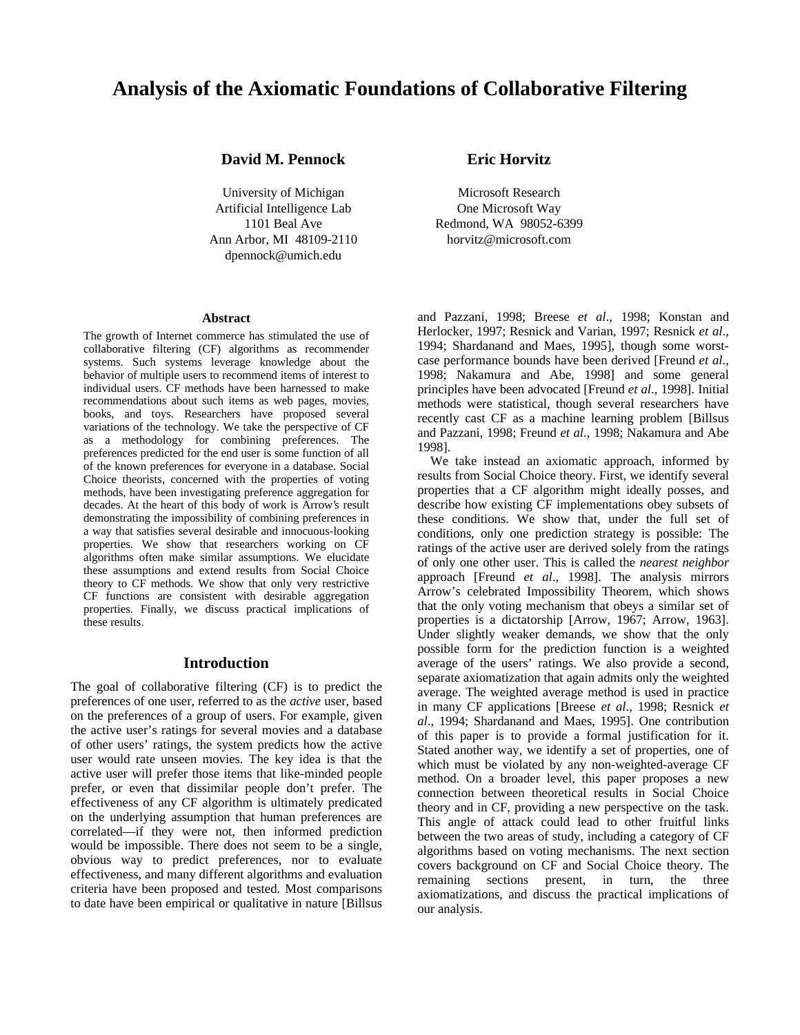# **Analysis of the Axiomatic Foundations of Collaborative Filtering**

#### **David M. Pennock**

University of Michigan Artificial Intelligence Lab 1101 Beal Ave Ann Arbor, MI 48109-2110 dpennock@umich.edu

#### **Abstract**

The growth of Internet commerce has stimulated the use of collaborative filtering (CF) algorithms as recommender systems. Such systems leverage knowledge about the behavior of multiple users to recommend items of interest to individual users. CF methods have been harnessed to make recommendations about such items as web pages, movies, books, and toys. Researchers have proposed several variations of the technology. We take the perspective of CF as a methodology for combining preferences. The preferences predicted for the end user is some function of all of the known preferences for everyone in a database. Social Choice theorists, concerned with the properties of voting methods, have been investigating preference aggregation for decades. At the heart of this body of work is Arrow's result demonstrating the impossibility of combining preferences in a way that satisfies several desirable and innocuous-looking properties. We show that researchers working on CF algorithms often make similar assumptions. We elucidate these assumptions and extend results from Social Choice theory to CF methods. We show that only very restrictive CF functions are consistent with desirable aggregation properties. Finally, we discuss practical implications of these results.

#### **Introduction**

The goal of collaborative filtering (CF) is to predict the preferences of one user, referred to as the *active* user, based on the preferences of a group of users. For example, given the active user's ratings for several movies and a database of other users' ratings, the system predicts how the active user would rate unseen movies. The key idea is that the active user will prefer those items that like-minded people prefer, or even that dissimilar people don't prefer. The effectiveness of any CF algorithm is ultimately predicated on the underlying assumption that human preferences are correlated—if they were not, then informed prediction would be impossible. There does not seem to be a single, obvious way to predict preferences, nor to evaluate effectiveness, and many different algorithms and evaluation criteria have been proposed and tested. Most comparisons to date have been empirical or qualitative in nature [Billsus

### **Eric Horvitz**

Microsoft Research One Microsoft Way Redmond, WA 98052-6399 horvitz@microsoft.com

and Pazzani, 1998; Breese *et al*., 1998; Konstan and Herlocker, 1997; Resnick and Varian, 1997; Resnick *et al*., 1994; Shardanand and Maes, 1995], though some worstcase performance bounds have been derived [Freund *et al*., 1998; Nakamura and Abe, 1998] and some general principles have been advocated [Freund *et al*., 1998]. Initial methods were statistical, though several researchers have recently cast CF as a machine learning problem [Billsus and Pazzani, 1998; Freund *et al*., 1998; Nakamura and Abe 1998].

We take instead an axiomatic approach, informed by results from Social Choice theory. First, we identify several properties that a CF algorithm might ideally posses, and describe how existing CF implementations obey subsets of these conditions. We show that, under the full set of conditions, only one prediction strategy is possible: The ratings of the active user are derived solely from the ratings of only one other user. This is called the *nearest neighbor* approach [Freund *et al*., 1998]. The analysis mirrors Arrow's celebrated Impossibility Theorem, which shows that the only voting mechanism that obeys a similar set of properties is a dictatorship [Arrow, 1967; Arrow, 1963]. Under slightly weaker demands, we show that the only possible form for the prediction function is a weighted average of the users' ratings. We also provide a second, separate axiomatization that again admits only the weighted average. The weighted average method is used in practice in many CF applications [Breese *et al*., 1998; Resnick *et al*., 1994; Shardanand and Maes, 1995]. One contribution of this paper is to provide a formal justification for it. Stated another way, we identify a set of properties, one of which must be violated by any non-weighted-average CF method. On a broader level, this paper proposes a new connection between theoretical results in Social Choice theory and in CF, providing a new perspective on the task. This angle of attack could lead to other fruitful links between the two areas of study, including a category of CF algorithms based on voting mechanisms. The next section covers background on CF and Social Choice theory. The remaining sections present, in turn, the three axiomatizations, and discuss the practical implications of our analysis.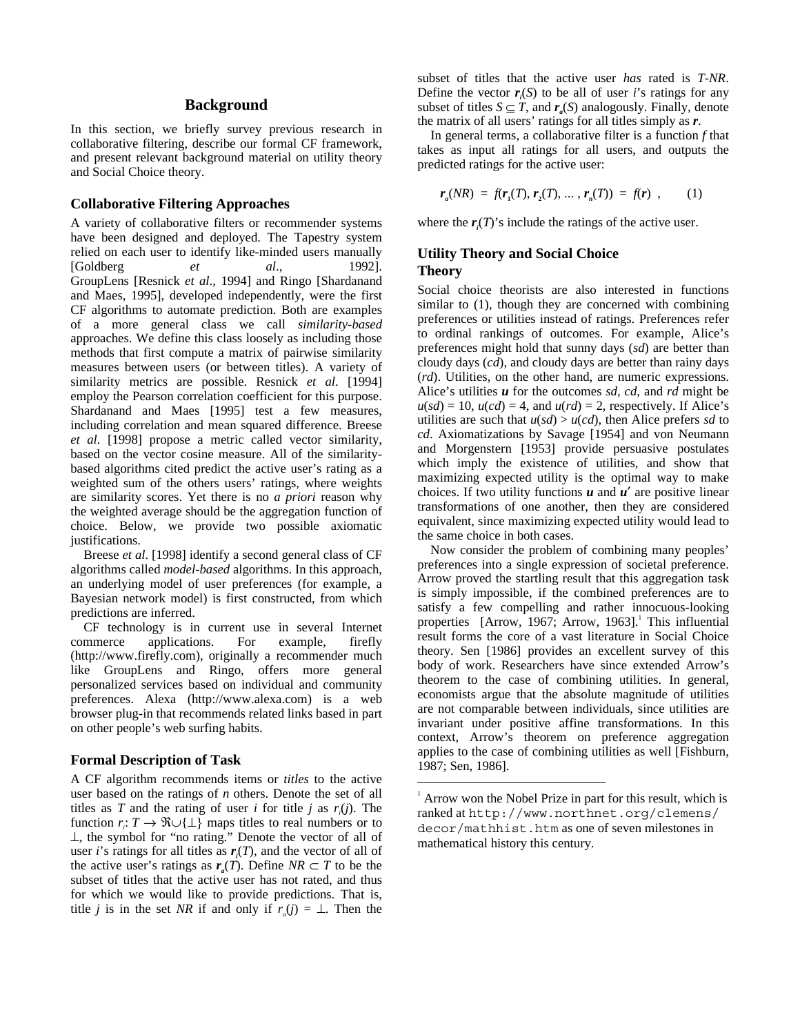#### **Background**

In this section, we briefly survey previous research in collaborative filtering, describe our formal CF framework, and present relevant background material on utility theory and Social Choice theory.

#### **Collaborative Filtering Approaches**

A variety of collaborative filters or recommender systems have been designed and deployed. The Tapestry system relied on each user to identify like-minded users manually [Goldberg *et al*., 1992]. GroupLens [Resnick *et al*., 1994] and Ringo [Shardanand and Maes, 1995], developed independently, were the first CF algorithms to automate prediction. Both are examples of a more general class we call *similarity-based* approaches. We define this class loosely as including those methods that first compute a matrix of pairwise similarity measures between users (or between titles). A variety of similarity metrics are possible. Resnick *et al*. [1994] employ the Pearson correlation coefficient for this purpose. Shardanand and Maes [1995] test a few measures, including correlation and mean squared difference. Breese *et al*. [1998] propose a metric called vector similarity, based on the vector cosine measure. All of the similaritybased algorithms cited predict the active user's rating as a weighted sum of the others users' ratings, where weights are similarity scores. Yet there is no *a priori* reason why the weighted average should be the aggregation function of choice. Below, we provide two possible axiomatic justifications.

Breese *et al*. [1998] identify a second general class of CF algorithms called *model-based* algorithms. In this approach, an underlying model of user preferences (for example, a Bayesian network model) is first constructed, from which predictions are inferred.

CF technology is in current use in several Internet commerce applications. For example, firefly (http://www.firefly.com), originally a recommender much like GroupLens and Ringo, offers more general personalized services based on individual and community preferences. Alexa (http://www.alexa.com) is a web browser plug-in that recommends related links based in part on other people's web surfing habits.

#### **Formal Description of Task**

A CF algorithm recommends items or *titles* to the active user based on the ratings of *n* others. Denote the set of all titles as *T* and the rating of user *i* for title *j* as  $r_i(j)$ . The function  $r_i: T \to \mathfrak{R} \cup \{\perp\}$  maps titles to real numbers or to ⊥, the symbol for "no rating." Denote the vector of all of user *i*'s ratings for all titles as  $r_i(T)$ , and the vector of all of the active user's ratings as  $r_a(T)$ . Define  $NR \subset T$  to be the subset of titles that the active user has not rated, and thus for which we would like to provide predictions. That is, title *j* is in the set *NR* if and only if  $r_a(j) = \perp$ . Then the

subset of titles that the active user *has* rated is *T*-*NR*. Define the vector  $r_i(S)$  to be all of user *i*'s ratings for any subset of titles  $S \subseteq T$ , and  $r_s(S)$  analogously. Finally, denote the matrix of all users' ratings for all titles simply as *r*.

In general terms, a collaborative filter is a function *f* that takes as input all ratings for all users, and outputs the predicted ratings for the active user:

$$
r_a(NR) = f(r_1(T), r_2(T), \dots, r_n(T)) = f(r) , \qquad (1)
$$

where the  $r_i(T)$ 's include the ratings of the active user.

#### **Utility Theory and Social Choice Theory**

Social choice theorists are also interested in functions similar to (1), though they are concerned with combining preferences or utilities instead of ratings. Preferences refer to ordinal rankings of outcomes. For example, Alice's preferences might hold that sunny days (*sd*) are better than cloudy days (*cd*), and cloudy days are better than rainy days (*rd*). Utilities, on the other hand, are numeric expressions. Alice's utilities *u* for the outcomes *sd*, *cd*, and *rd* might be  $u(sd) = 10$ ,  $u(cd) = 4$ , and  $u(rd) = 2$ , respectively. If Alice's utilities are such that  $u(sd) > u(cd)$ , then Alice prefers *sd* to *cd*. Axiomatizations by Savage [1954] and von Neumann and Morgenstern [1953] provide persuasive postulates which imply the existence of utilities, and show that maximizing expected utility is the optimal way to make choices. If two utility functions *u* and *u*′ are positive linear transformations of one another, then they are considered equivalent, since maximizing expected utility would lead to the same choice in both cases.

Now consider the problem of combining many peoples' preferences into a single expression of societal preference. Arrow proved the startling result that this aggregation task is simply impossible, if the combined preferences are to satisfy a few compelling and rather innocuous-looking properties [Arrow, 1967; Arrow, 1963].<sup>1</sup> This influential result forms the core of a vast literature in Social Choice theory. Sen [1986] provides an excellent survey of this body of work. Researchers have since extended Arrow's theorem to the case of combining utilities. In general, economists argue that the absolute magnitude of utilities are not comparable between individuals, since utilities are invariant under positive affine transformations. In this context, Arrow's theorem on preference aggregation applies to the case of combining utilities as well [Fishburn, 1987; Sen, 1986].

 $\frac{1}{1}$  $\alpha$ <sup>1</sup> Arrow won the Nobel Prize in part for this result, which is ranked at http://www.northnet.org/clemens/ decor/mathhist.htm as one of seven milestones in mathematical history this century.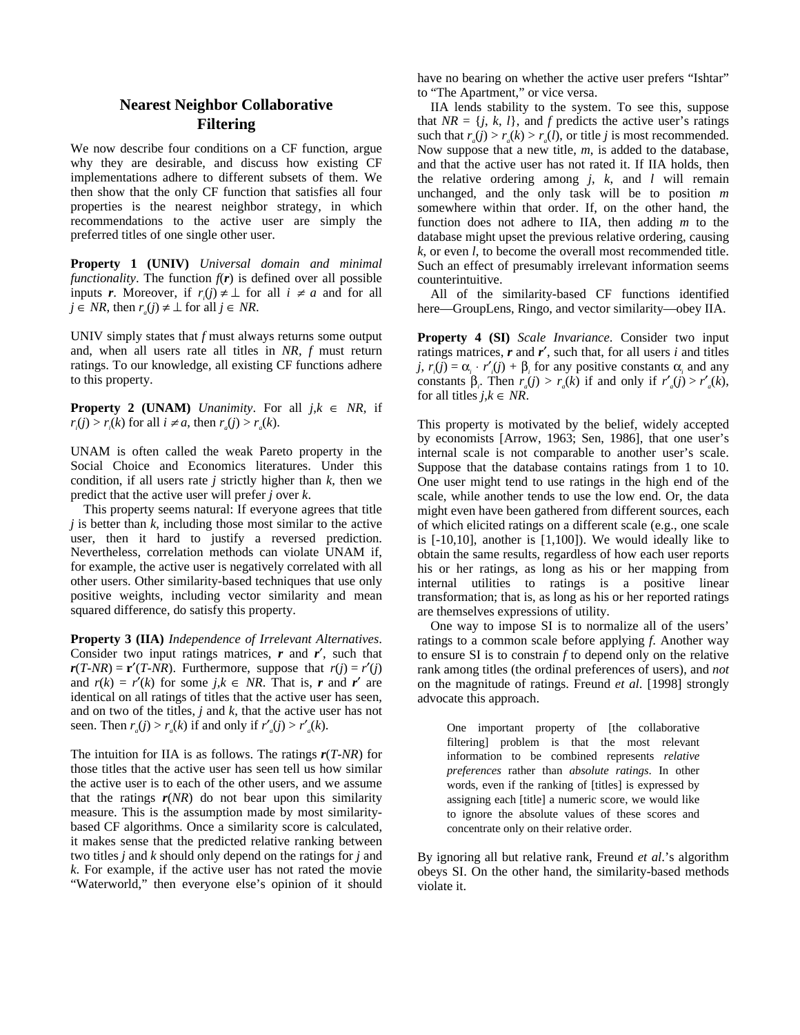## **Nearest Neighbor Collaborative Filtering**

We now describe four conditions on a CF function, argue why they are desirable, and discuss how existing CF implementations adhere to different subsets of them. We then show that the only CF function that satisfies all four properties is the nearest neighbor strategy, in which recommendations to the active user are simply the preferred titles of one single other user.

**Property 1 (UNIV)** *Universal domain and minimal functionality*. The function  $f(r)$  is defined over all possible inputs *r*. Moreover, if  $r_i(j) \neq \perp$  for all  $i \neq a$  and for all *j* ∈ *NR*, then  $r_a(i) \neq \perp$  for all  $j \in NR$ .

UNIV simply states that *f* must always returns some output and, when all users rate all titles in *NR*, *f* must return ratings. To our knowledge, all existing CF functions adhere to this property.

**Property 2 (UNAM)** *Unanimity*. For all  $j, k \in NR$ , if  $r_i(j) > r_i(k)$  for all  $i \neq a$ , then  $r_a(j) > r_a(k)$ .

UNAM is often called the weak Pareto property in the Social Choice and Economics literatures. Under this condition, if all users rate  $j$  strictly higher than  $k$ , then we predict that the active user will prefer *j* over *k*.

This property seems natural: If everyone agrees that title *j* is better than *k*, including those most similar to the active user, then it hard to justify a reversed prediction. Nevertheless, correlation methods can violate UNAM if, for example, the active user is negatively correlated with all other users. Other similarity-based techniques that use only positive weights, including vector similarity and mean squared difference, do satisfy this property.

**Property 3 (IIA)** *Independence of Irrelevant Alternatives*. Consider two input ratings matrices, *r* and *r*′, such that  $r(T-NR) = r'(T-NR)$ . Furthermore, suppose that  $r(j) = r'(j)$ and  $r(k) = r'(k)$  for some *j*, $k \in NR$ . That is, *r* and *r'* are identical on all ratings of titles that the active user has seen, and on two of the titles, *j* and *k*, that the active user has not seen. Then  $r_a(j) > r_a(k)$  if and only if  $r'_a(j) > r'_a(k)$ .

The intuition for IIA is as follows. The ratings *r*(*T*-*NR*) for those titles that the active user has seen tell us how similar the active user is to each of the other users, and we assume that the ratings  $r(NR)$  do not bear upon this similarity measure. This is the assumption made by most similaritybased CF algorithms. Once a similarity score is calculated, it makes sense that the predicted relative ranking between two titles *j* and *k* should only depend on the ratings for *j* and *k*. For example, if the active user has not rated the movie "Waterworld," then everyone else's opinion of it should have no bearing on whether the active user prefers "Ishtar" to "The Apartment," or vice versa.

IIA lends stability to the system. To see this, suppose that  $NR = \{j, k, l\}$ , and *f* predicts the active user's ratings such that  $r_a(j) > r_a(k) > r_a(l)$ , or title *j* is most recommended. Now suppose that a new title, *m*, is added to the database, and that the active user has not rated it. If IIA holds, then the relative ordering among *j*, *k*, and *l* will remain unchanged, and the only task will be to position *m* somewhere within that order. If, on the other hand, the function does not adhere to IIA, then adding *m* to the database might upset the previous relative ordering, causing *k*, or even *l*, to become the overall most recommended title. Such an effect of presumably irrelevant information seems counterintuitive.

All of the similarity-based CF functions identified here—GroupLens, Ringo, and vector similarity—obey IIA.

**Property 4 (SI)** *Scale Invariance*. Consider two input ratings matrices, *r* and *r*′, such that, for all users *i* and titles *j*,  $r_i(j) = \alpha_i \cdot r'_i(j) + \beta_i$  for any positive constants  $\alpha_i$  and any constants  $\beta_i$ . Then  $r_a(j) > r_a(k)$  if and only if  $r'_a(j) > r'_a(k)$ , for all titles  $j, k \in NR$ .

This property is motivated by the belief, widely accepted by economists [Arrow, 1963; Sen, 1986], that one user's internal scale is not comparable to another user's scale. Suppose that the database contains ratings from 1 to 10. One user might tend to use ratings in the high end of the scale, while another tends to use the low end. Or, the data might even have been gathered from different sources, each of which elicited ratings on a different scale (e.g., one scale is [-10,10], another is [1,100]). We would ideally like to obtain the same results, regardless of how each user reports his or her ratings, as long as his or her mapping from internal utilities to ratings is a positive linear transformation; that is, as long as his or her reported ratings are themselves expressions of utility.

One way to impose SI is to normalize all of the users' ratings to a common scale before applying *f*. Another way to ensure SI is to constrain *f* to depend only on the relative rank among titles (the ordinal preferences of users), and *not* on the magnitude of ratings. Freund *et al*. [1998] strongly advocate this approach.

One important property of [the collaborative filtering] problem is that the most relevant information to be combined represents *relative preferences* rather than *absolute ratings*. In other words, even if the ranking of [titles] is expressed by assigning each [title] a numeric score, we would like to ignore the absolute values of these scores and concentrate only on their relative order.

By ignoring all but relative rank, Freund *et al*.'s algorithm obeys SI. On the other hand, the similarity-based methods violate it.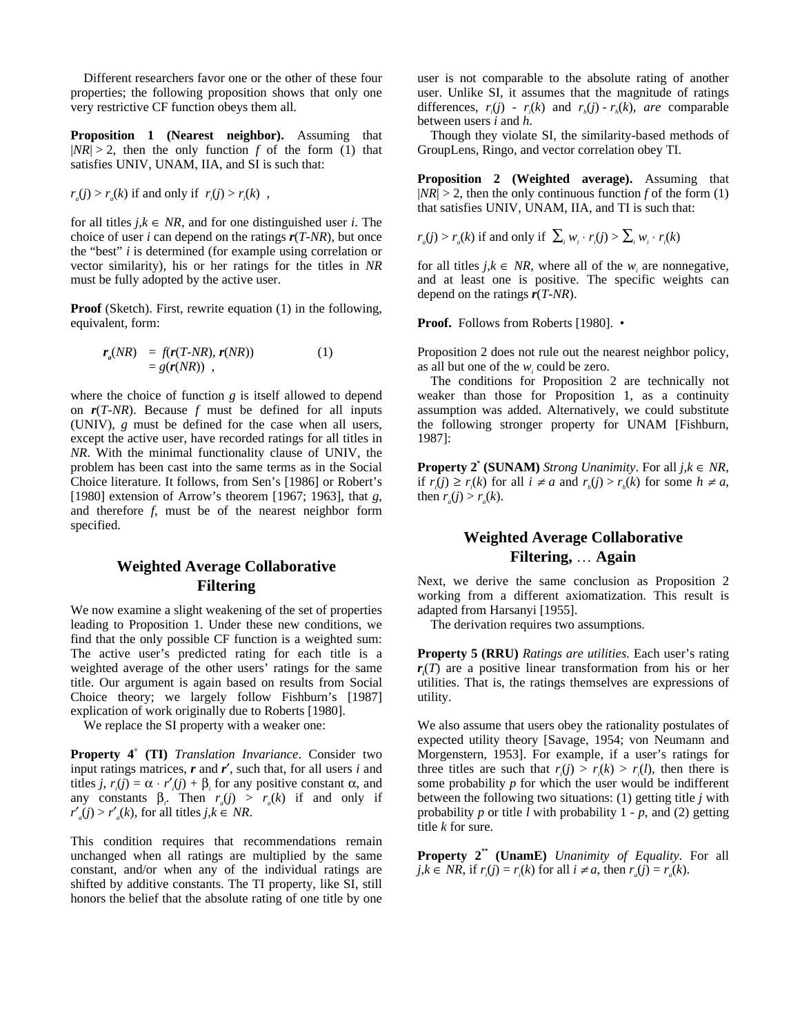Different researchers favor one or the other of these four properties; the following proposition shows that only one very restrictive CF function obeys them all.

**Proposition 1 (Nearest neighbor).** Assuming that  $|NR| > 2$ , then the only function *f* of the form (1) that satisfies UNIV, UNAM, IIA, and SI is such that:

$$
r_a(j) > r_a(k)
$$
 if and only if  $r_i(j) > r_i(k)$ ,

for all titles  $j, k \in NR$ , and for one distinguished user *i*. The choice of user *i* can depend on the ratings *r*(*T*-*NR*), but once the "best" *i* is determined (for example using correlation or vector similarity), his or her ratings for the titles in *NR* must be fully adopted by the active user.

**Proof** (Sketch). First, rewrite equation (1) in the following, equivalent, form:

$$
r_a(NR) = f(r(T-NR), r(NR))
$$
  
= g(r(NR)) , (1)

where the choice of function *g* is itself allowed to depend on *r*(*T*-*NR*). Because *f* must be defined for all inputs (UNIV), *g* must be defined for the case when all users, except the active user, have recorded ratings for all titles in *NR*. With the minimal functionality clause of UNIV, the problem has been cast into the same terms as in the Social Choice literature. It follows, from Sen's [1986] or Robert's [1980] extension of Arrow's theorem [1967; 1963], that *g*, and therefore *f*, must be of the nearest neighbor form specified.

## **Weighted Average Collaborative Filtering**

We now examine a slight weakening of the set of properties leading to Proposition 1. Under these new conditions, we find that the only possible CF function is a weighted sum: The active user's predicted rating for each title is a weighted average of the other users' ratings for the same title. Our argument is again based on results from Social Choice theory; we largely follow Fishburn's [1987] explication of work originally due to Roberts [1980].

We replace the SI property with a weaker one:

**Property 4**<sup>∗</sup>  **(TI)** *Translation Invariance*. Consider two input ratings matrices, *r* and *r*′, such that, for all users *i* and titles *j*,  $r_i(j) = \alpha \cdot r'_i(j) + \beta_i$  for any positive constant  $\alpha$ , and any constants  $\beta_i$ . Then  $r_a(j) > r_a(k)$  if and only if  $r'_{a}(j) > r'_{a}(k)$ , for all titles *j*, $k \in NR$ .

This condition requires that recommendations remain unchanged when all ratings are multiplied by the same constant, and/or when any of the individual ratings are shifted by additive constants. The TI property, like SI, still honors the belief that the absolute rating of one title by one user is not comparable to the absolute rating of another user. Unlike SI, it assumes that the magnitude of ratings differences,  $r_i(j)$  -  $r_i(k)$  and  $r_h(j)$  -  $r_h(k)$ , *are* comparable between users *i* and *h*.

Though they violate SI, the similarity-based methods of GroupLens, Ringo, and vector correlation obey TI.

**Proposition 2 (Weighted average).** Assuming that  $|NR| > 2$ , then the only continuous function *f* of the form (1) that satisfies UNIV, UNAM, IIA, and TI is such that:

$$
r_a(j) > r_a(k)
$$
 if and only if  $\sum_i w_i \cdot r_i(j) > \sum_i w_i \cdot r_i(k)$ 

for all titles  $j, k \in NR$ , where all of the  $w_i$  are nonnegative, and at least one is positive. The specific weights can depend on the ratings *r*(*T*-*NR*).

**Proof.** Follows from Roberts [1980]. •

Proposition 2 does not rule out the nearest neighbor policy, as all but one of the  $w_i$  could be zero.

The conditions for Proposition 2 are technically not weaker than those for Proposition 1, as a continuity assumption was added. Alternatively, we could substitute the following stronger property for UNAM [Fishburn, 1987]:

**Property 2<sup>\*</sup> (SUNAM)** *Strong Unanimity*. For all  $j, k \in NR$ , if  $r_i(j) \ge r_i(k)$  for all  $i \ne a$  and  $r_h(j) > r_h(k)$  for some  $h \ne a$ , then  $r_a(j) > r_a(k)$ .

# **Weighted Average Collaborative Filtering,** … **Again**

Next, we derive the same conclusion as Proposition 2 working from a different axiomatization. This result is adapted from Harsanyi [1955].

The derivation requires two assumptions.

**Property 5 (RRU)** *Ratings are utilities*. Each user's rating *ri* (*T*) are a positive linear transformation from his or her utilities. That is, the ratings themselves are expressions of utility.

We also assume that users obey the rationality postulates of expected utility theory [Savage, 1954; von Neumann and Morgenstern, 1953]. For example, if a user's ratings for three titles are such that  $r_i(j) > r_i(k) > r_i(l)$ , then there is some probability *p* for which the user would be indifferent between the following two situations: (1) getting title *j* with probability  $p$  or title  $\overline{l}$  with probability  $1 - p$ , and (2) getting title *k* for sure.

**Property 2\*\* (UnamE)** *Unanimity of Equality*. For all *j*,*k* ∈ *NR*, if *r<sub>i</sub>*(*j*) = *r<sub>i</sub>*(*k*) for all *i* ≠ *a*, then *r<sub><i>a*</sub>(*j*) = *r<sub><i>a*</sub>(*k*).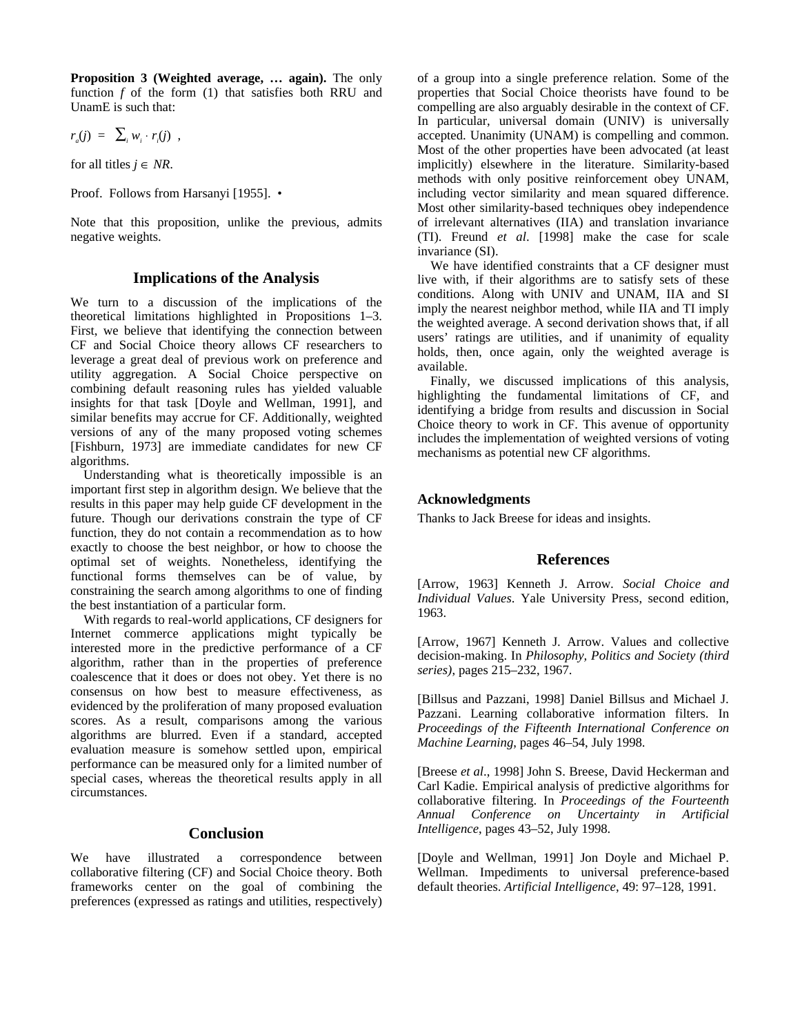**Proposition 3 (Weighted average, … again).** The only function *f* of the form (1) that satisfies both RRU and UnamE is such that:

$$
r_a(j) = \sum_i w_i \cdot r_i(j) ,
$$

for all titles  $j \in NR$ .

Proof. Follows from Harsanyi [1955]. •

Note that this proposition, unlike the previous, admits negative weights.

#### **Implications of the Analysis**

We turn to a discussion of the implications of the theoretical limitations highlighted in Propositions 1–3. First, we believe that identifying the connection between CF and Social Choice theory allows CF researchers to leverage a great deal of previous work on preference and utility aggregation. A Social Choice perspective on combining default reasoning rules has yielded valuable insights for that task [Doyle and Wellman, 1991], and similar benefits may accrue for CF. Additionally, weighted versions of any of the many proposed voting schemes [Fishburn, 1973] are immediate candidates for new CF algorithms.

Understanding what is theoretically impossible is an important first step in algorithm design. We believe that the results in this paper may help guide CF development in the future. Though our derivations constrain the type of CF function, they do not contain a recommendation as to how exactly to choose the best neighbor, or how to choose the optimal set of weights. Nonetheless, identifying the functional forms themselves can be of value, by constraining the search among algorithms to one of finding the best instantiation of a particular form.

With regards to real-world applications, CF designers for Internet commerce applications might typically be interested more in the predictive performance of a CF algorithm, rather than in the properties of preference coalescence that it does or does not obey. Yet there is no consensus on how best to measure effectiveness, as evidenced by the proliferation of many proposed evaluation scores. As a result, comparisons among the various algorithms are blurred. Even if a standard, accepted evaluation measure is somehow settled upon, empirical performance can be measured only for a limited number of special cases, whereas the theoretical results apply in all circumstances.

### **Conclusion**

We have illustrated a correspondence between collaborative filtering (CF) and Social Choice theory. Both frameworks center on the goal of combining the preferences (expressed as ratings and utilities, respectively) of a group into a single preference relation. Some of the properties that Social Choice theorists have found to be compelling are also arguably desirable in the context of CF. In particular, universal domain (UNIV) is universally accepted. Unanimity (UNAM) is compelling and common. Most of the other properties have been advocated (at least implicitly) elsewhere in the literature. Similarity-based methods with only positive reinforcement obey UNAM, including vector similarity and mean squared difference. Most other similarity-based techniques obey independence of irrelevant alternatives (IIA) and translation invariance (TI). Freund *et al*. [1998] make the case for scale invariance (SI).

We have identified constraints that a CF designer must live with, if their algorithms are to satisfy sets of these conditions. Along with UNIV and UNAM, IIA and SI imply the nearest neighbor method, while IIA and TI imply the weighted average. A second derivation shows that, if all users' ratings are utilities, and if unanimity of equality holds, then, once again, only the weighted average is available.

Finally, we discussed implications of this analysis, highlighting the fundamental limitations of CF, and identifying a bridge from results and discussion in Social Choice theory to work in CF. This avenue of opportunity includes the implementation of weighted versions of voting mechanisms as potential new CF algorithms.

### **Acknowledgments**

Thanks to Jack Breese for ideas and insights.

### **References**

[Arrow, 1963] Kenneth J. Arrow*. Social Choice and Individual Values*. Yale University Press, second edition, 1963.

[Arrow, 1967] Kenneth J. Arrow. Values and collective decision-making. In *Philosophy, Politics and Society (third series)*, pages 215–232, 1967.

[Billsus and Pazzani, 1998] Daniel Billsus and Michael J. Pazzani. Learning collaborative information filters. In *Proceedings of the Fifteenth International Conference on Machine Learning*, pages 46–54, July 1998.

[Breese *et al*., 1998] John S. Breese, David Heckerman and Carl Kadie. Empirical analysis of predictive algorithms for collaborative filtering. In *Proceedings of the Fourteenth Annual Conference on Uncertainty in Artificial Intelligence*, pages 43–52, July 1998.

[Doyle and Wellman, 1991] Jon Doyle and Michael P. Wellman. Impediments to universal preference-based default theories. *Artificial Intelligence*, 49: 97–128, 1991.